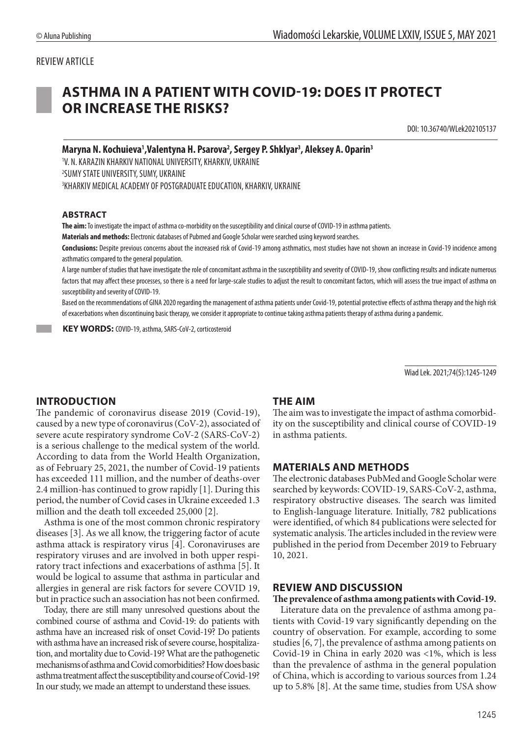## REVIEW ARTICLE



# **ASTHMA IN A PATIENT WITH COVID-19: DOES IT PROTECT OR INCREASE THE RISKS?**

DOI: 10.36740/WLek202105137

Maryna N. Kochuieva<sup>1</sup>,Valentyna H. Psarova<sup>2</sup>, Sergey P. Shklyar<sup>3</sup>, Aleksey A. Oparin<sup>3</sup>

1 V. N. KARAZIN KHARKIV NATIONAL UNIVERSITY, KHARKIV, UKRAINE 2 SUMY STATE UNIVERSITY, SUMY, UKRAINE 3 KHARKIV MEDICAL ACADEMY OF POSTGRADUATE EDUCATION, KHARKIV, UKRAINE

#### **ABSTRACT**

The aim: To investigate the impact of asthma co-morbidity on the susceptibility and clinical course of COVID-19 in asthma patients. **Materials and methods:** Electronic databases of Pubmed and Google Scholar were searched using keyword searches.

**Conclusions:** Despite previous concerns about the increased risk of Covid-19 among asthmatics, most studies have not shown an increase in Covid-19 incidence among asthmatics compared to the general population.

A large number of studies that have investigate the role of concomitant asthma in the susceptibility and severity of COVID-19, show conflicting results and indicate numerous factors that may affect these processes, so there is a need for large-scale studies to adjust the result to concomitant factors, which will assess the true impact of asthma on susceptibility and severity of COVID-19.

Based on the recommendations of GINA 2020 regarding the management of asthma patients under Covid-19, potential protective effects of asthma therapy and the high risk of exacerbations when discontinuing basic therapy, we consider it appropriate to continue taking asthma patients therapy of asthma during a pandemic.

 **KEY WORDS:** COVID-19, asthma, SARS-CoV-2, corticosteroid

Wiad Lek. 2021;74(5):1245-1249

## **INTRODUCTION**

The pandemic of coronavirus disease 2019 (Covid-19), caused by a new type of coronavirus (CoV-2), associated of severe acute respiratory syndrome CoV-2 (SARS-CoV-2) is a serious challenge to the medical system of the world. According to data from the World Health Organization, as of February 25, 2021, the number of Covid-19 patients has exceeded 111 million, and the number of deaths-over 2.4 million-has continued to grow rapidly [1]. During this period, the number of Covid cases in Ukraine exceeded 1.3 million and the death toll exceeded 25,000 [2].

Asthma is one of the most common chronic respiratory diseases [3]. As we all know, the triggering factor of acute asthma attack is respiratory virus [4]. Coronaviruses are respiratory viruses and are involved in both upper respiratory tract infections and exacerbations of asthma [5]. It would be logical to assume that asthma in particular and allergies in general are risk factors for severe COVID 19, but in practice such an association has not been confirmed.

Today, there are still many unresolved questions about the combined course of asthma and Covid-19: do patients with asthma have an increased risk of onset Covid-19? Do patients with asthma have an increased risk of severe course, hospitalization, and mortality due to Covid-19? What are the pathogenetic mechanisms of asthma and Covid comorbidities? How does basic asthma treatment affect the susceptibility and course of Covid-19? In our study, we made an attempt to understand these issues.

#### **THE AIM**

The aim was to investigate the impact of asthma comorbidity on the susceptibility and clinical course of COVID-19 in asthma patients.

### **MATERIALS AND METHODS**

The electronic databases PubMed and Google Scholar were searched by keywords: COVID-19, SARS-CoV-2, asthma, respiratory obstructive diseases. The search was limited to English-language literature. Initially, 782 publications were identified, of which 84 publications were selected for systematic analysis. The articles included in the review were published in the period from December 2019 to February 10, 2021.

#### **REVIEW AND DISCUSSION**

**The prevalence of asthma among patients with Covid-19.**

Literature data on the prevalence of asthma among patients with Covid-19 vary significantly depending on the country of observation. For example, according to some studies [6, 7], the prevalence of asthma among patients on Covid-19 in China in early 2020 was <1%, which is less than the prevalence of asthma in the general population of China, which is according to various sources from 1.24 up to 5.8% [8]. At the same time, studies from USA show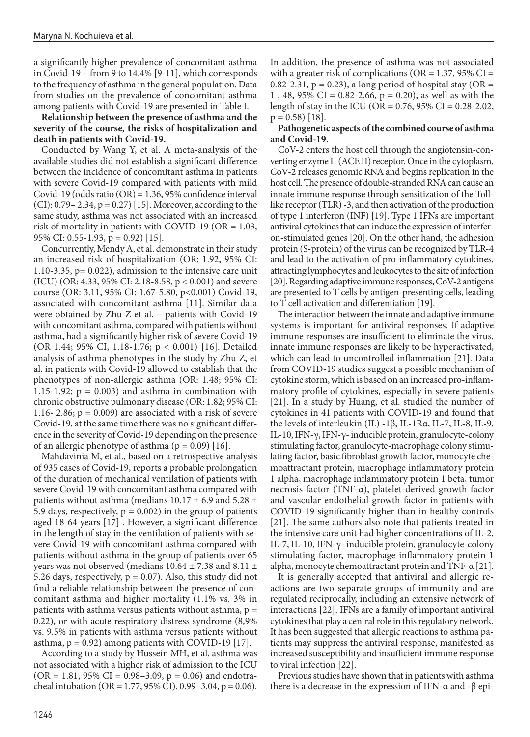a significantly higher prevalence of concomitant asthma in Covid-19 – from 9 to 14.4% [9-11], which corresponds to the frequency of asthma in the general population. Data from studies on the prevalence of concomitant asthma among patients with Covid-19 are presented in Table I.

**Relationship between the presence of asthma and the severity of the course, the risks of hospitalization and death in patients with Covid-19.**

Conducted by Wang Y, et al. A meta-analysis of the available studies did not establish a significant difference between the incidence of concomitant asthma in patients with severe Covid-19 compared with patients with mild Covid-19 (odds ratio (OR) = 1.36, 95% confidence interval (CI): 0.79– 2.34, p = 0.27) [15]. Moreover, according to the same study, asthma was not associated with an increased risk of mortality in patients with COVID-19 (OR  $= 1.03$ , 95% CI: 0.55-1.93, p = 0.92) [15].

Concurrently, Mendy A, et al. demonstrate in their study an increased risk of hospitalization (OR: 1.92, 95% CI: 1.10-3.35, p= 0.022), admission to the intensive care unit (ICU) (OR: 4.33, 95% CI: 2.18-8.58, p < 0.001) and severe course (OR: 3.11, 95% CI: 1.67-5.80, p<0.001) Covid-19, associated with concomitant asthma [11]. Similar data were obtained by Zhu Z et al. – patients with Covid-19 with concomitant asthma, compared with patients without asthma, had a significantly higher risk of severe Covid-19 (OR 1.44; 95% CI, 1.18-1.76; p < 0.001) [16]. Detailed analysis of asthma phenotypes in the study by Zhu Z, et al. in patients with Covid-19 allowed to establish that the phenotypes of non-allergic asthma (OR: 1.48; 95% CI: 1.15-1.92;  $p = 0.003$ ) and asthma in combination with chronic obstructive pulmonary disease (OR: 1.82; 95% CI: 1.16- 2.86;  $p = 0.009$ ) are associated with a risk of severe Covid-19, at the same time there was no significant difference in the severity of Covid-19 depending on the presence of an allergic phenotype of asthma ( $p = 0.09$ ) [16].

Mahdavinia M, et al., based on a retrospective analysis of 935 cases of Covid-19, reports a probable prolongation of the duration of mechanical ventilation of patients with severe Covid-19 with concomitant asthma compared with patients without asthma (medians  $10.17 \pm 6.9$  and  $5.28 \pm 1.5$ 5.9 days, respectively,  $p = 0.002$ ) in the group of patients aged 18-64 years [17] . However, a significant difference in the length of stay in the ventilation of patients with severe Covid-19 with concomitant asthma compared with patients without asthma in the group of patients over 65 years was not observed (medians  $10.64 \pm 7.38$  and  $8.11 \pm$ 5.26 days, respectively,  $p = 0.07$ ). Also, this study did not find a reliable relationship between the presence of concomitant asthma and higher mortality (1.1% vs. 3% in patients with asthma versus patients without asthma,  $p =$ 0.22), or with acute respiratory distress syndrome (8,9% vs. 9.5% in patients with asthma versus patients without asthma,  $p = 0.92$ ) among patients with COVID-19 [17].

According to a study by Hussein MH, et al. asthma was not associated with a higher risk of admission to the ICU  $(OR = 1.81, 95\% CI = 0.98-3.09, p = 0.06)$  and endotracheal intubation (OR = 1.77, 95% CI). 0.99-3.04, p = 0.06). In addition, the presence of asthma was not associated with a greater risk of complications ( $OR = 1.37$ , 95%  $CI =$ 0.82-2.31,  $p = 0.23$ ), a long period of hospital stay (OR = 1, 48, 95% CI =  $0.82 - 2.66$ , p = 0.20), as well as with the length of stay in the ICU (OR =  $0.76$ ,  $95\%$  CI =  $0.28-2.02$ ,  $p = 0.58$ ) [18].

#### **Pathogenetic aspects of the combined course of asthma and Covid-19.**

CoV-2 enters the host cell through the angiotensin-converting enzyme II (ACE II) receptor. Once in the cytoplasm, CoV-2 releases genomic RNA and begins replication in the host cell. The presence of double-stranded RNA can cause an innate immune response through sensitization of the Tolllike receptor (TLR) -3, and then activation of the production of type 1 interferon (INF) [19]. Type 1 IFNs are important antiviral cytokines that can induce the expression of interferon-stimulated genes [20]. On the other hand, the adhesion protein (S-protein) of the virus can be recognized by TLR-4 and lead to the activation of pro-inflammatory cytokines, attracting lymphocytes and leukocytes to the site of infection [20]. Regarding adaptive immune responses, CoV-2 antigens are presented to T cells by antigen-presenting cells, leading to T cell activation and differentiation [19].

The interaction between the innate and adaptive immune systems is important for antiviral responses. If adaptive immune responses are insufficient to eliminate the virus, innate immune responses are likely to be hyperactivated, which can lead to uncontrolled inflammation [21]. Data from COVID-19 studies suggest a possible mechanism of cytokine storm, which is based on an increased pro-inflammatory profile of cytokines, especially in severe patients [21]. In a study by Huang, et al. studied the number of cytokines in 41 patients with COVID-19 and found that the levels of interleukin (IL) -1β, IL-1Rα, IL-7, IL-8, IL-9, IL-10, IFN-γ, IFN-γ- inducible protein, granulocyte-colony stimulating factor, granulocyte-macrophage colony stimulating factor, basic fibroblast growth factor, monocyte chemoattractant protein, macrophage inflammatory protein 1 alpha, macrophage inflammatory protein 1 beta, tumor necrosis factor (TNF-α), platelet-derived growth factor and vascular endothelial growth factor in patients with COVID-19 significantly higher than in healthy controls [21]. The same authors also note that patients treated in the intensive care unit had higher concentrations of IL-2, IL-7, IL-10, IFN-γ- inducible protein, granulocyte-colony stimulating factor, macrophage inflammatory protein 1 alpha, monocyte chemoattractant protein and TNF-α [21].

It is generally accepted that antiviral and allergic reactions are two separate groups of immunity and are regulated reciprocally, including an extensive network of interactions [22]. IFNs are a family of important antiviral cytokines that play a central role in this regulatory network. It has been suggested that allergic reactions to asthma patients may suppress the antiviral response, manifested as increased susceptibility and insufficient immune response to viral infection [22].

Previous studies have shown that in patients with asthma there is a decrease in the expression of IFN-α and -β epi-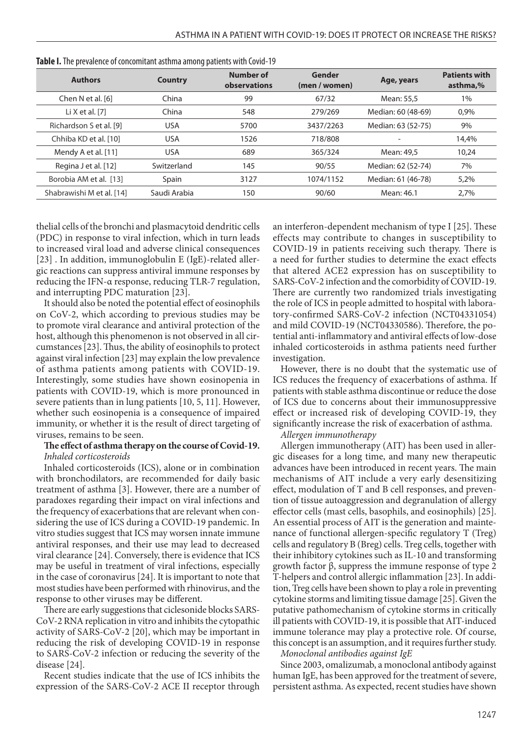| <b>Authors</b>            | <b>Country</b> | Number of<br>observations | Gender<br>(men / women) | Age, years         | <b>Patients with</b><br>asthma,% |
|---------------------------|----------------|---------------------------|-------------------------|--------------------|----------------------------------|
| Chen N et al. [6]         | China          | 99                        | 67/32                   | Mean: 55.5         | 1%                               |
| Li $X$ et al. [7]         | China          | 548                       | 279/269                 | Median: 60 (48-69) | 0,9%                             |
| Richardson S et al. [9]   | <b>USA</b>     | 5700                      | 3437/2263               | Median: 63 (52-75) | 9%                               |
| Chhiba KD et al. [10]     | <b>USA</b>     | 1526                      | 718/808                 |                    | 14,4%                            |
| Mendy A et al. [11]       | <b>USA</b>     | 689                       | 365/324                 | Mean: 49.5         | 10,24                            |
| Regina J et al. [12]      | Switzerland    | 145                       | 90/55                   | Median: 62 (52-74) | 7%                               |
| Borobia AM et al. [13]    | Spain          | 3127                      | 1074/1152               | Median: 61 (46-78) | 5,2%                             |
| Shabrawishi M et al. [14] | Saudi Arabia   | 150                       | 90/60                   | Mean: 46.1         | 2,7%                             |
|                           |                |                           |                         |                    |                                  |

thelial cells of the bronchi and plasmacytoid dendritic cells (PDC) in response to viral infection, which in turn leads to increased viral load and adverse clinical consequences [23] . In addition, immunoglobulin E (IgE)-related allergic reactions can suppress antiviral immune responses by reducing the IFN-α response, reducing TLR-7 regulation, and interrupting PDC maturation [23].

It should also be noted the potential effect of eosinophils on CoV-2, which according to previous studies may be to promote viral clearance and antiviral protection of the host, although this phenomenon is not observed in all circumstances [23]. Thus, the ability of eosinophils to protect against viral infection [23] may explain the low prevalence of asthma patients among patients with COVID-19. Interestingly, some studies have shown eosinopenia in patients with COVID-19, which is more pronounced in severe patients than in lung patients [10, 5, 11]. However, whether such eosinopenia is a consequence of impaired immunity, or whether it is the result of direct targeting of viruses, remains to be seen.

#### **The effect of asthma therapy on the course of Covid-19.** *Inhaled corticosteroids*

Inhaled corticosteroids (ICS), alone or in combination with bronchodilators, are recommended for daily basic treatment of asthma [3]. However, there are a number of paradoxes regarding their impact on viral infections and the frequency of exacerbations that are relevant when considering the use of ICS during a COVID-19 pandemic. In vitro studies suggest that ICS may worsen innate immune antiviral responses, and their use may lead to decreased viral clearance [24]. Conversely, there is evidence that ICS may be useful in treatment of viral infections, especially in the case of coronavirus [24]. It is important to note that most studies have been performed with rhinovirus, and the response to other viruses may be different.

There are early suggestions that ciclesonide blocks SARS-CoV-2 RNA replication in vitro and inhibits the cytopathic activity of SARS-CoV-2 [20], which may be important in reducing the risk of developing COVID-19 in response to SARS-CoV-2 infection or reducing the severity of the disease [24].

Recent studies indicate that the use of ICS inhibits the expression of the SARS-CoV-2 ACE II receptor through

an interferon-dependent mechanism of type I [25]. These effects may contribute to changes in susceptibility to COVID-19 in patients receiving such therapy. There is a need for further studies to determine the exact effects that altered ACE2 expression has on susceptibility to SARS-CoV-2 infection and the comorbidity of COVID-19. There are currently two randomized trials investigating the role of ICS in people admitted to hospital with laboratory-confirmed SARS-CoV-2 infection (NCT04331054) and mild COVID-19 (NCT04330586). Therefore, the potential anti-inflammatory and antiviral effects of low-dose inhaled corticosteroids in asthma patients need further investigation.

However, there is no doubt that the systematic use of ICS reduces the frequency of exacerbations of asthma. If patients with stable asthma discontinue or reduce the dose of ICS due to concerns about their immunosuppressive effect or increased risk of developing COVID-19, they significantly increase the risk of exacerbation of asthma.

*Allergen immunotherapy*

Allergen immunotherapy (AIT) has been used in allergic diseases for a long time, and many new therapeutic advances have been introduced in recent years. The main mechanisms of AIT include a very early desensitizing effect, modulation of T and B cell responses, and prevention of tissue autoaggression and degranulation of allergy effector cells (mast cells, basophils, and eosinophils) [25]. An essential process of AIT is the generation and maintenance of functional allergen-specific regulatory T (Treg) cells and regulatory B (Breg) cells. Treg cells, together with their inhibitory cytokines such as IL-10 and transforming growth factor β, suppress the immune response of type 2 T-helpers and control allergic inflammation [23]. In addition, Treg cells have been shown to play a role in preventing cytokine storms and limiting tissue damage [25]. Given the putative pathomechanism of cytokine storms in critically ill patients with COVID-19, it is possible that AIT-induced immune tolerance may play a protective role. Of course, this concept is an assumption, and it requires further study. *Monoclonal antibodies against IgE*

Since 2003, omalizumab, a monoclonal antibody against human IgE, has been approved for the treatment of severe, persistent asthma. As expected, recent studies have shown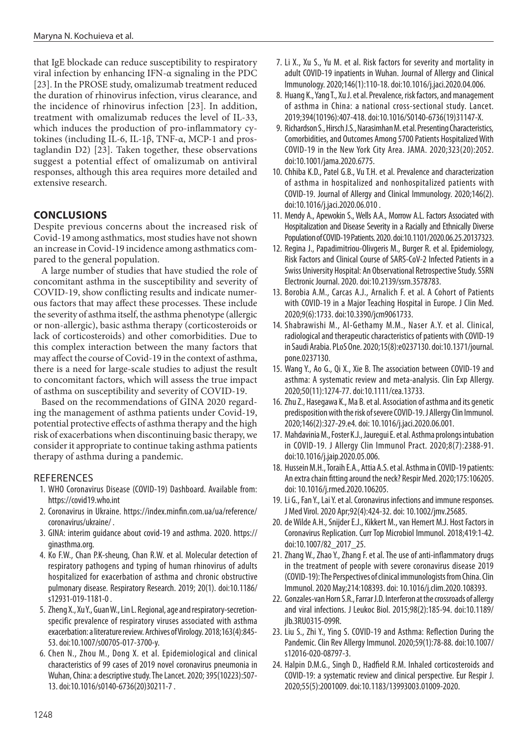that IgE blockade can reduce susceptibility to respiratory viral infection by enhancing IFN-α signaling in the PDC [23]. In the PROSE study, omalizumab treatment reduced the duration of rhinovirus infection, virus clearance, and the incidence of rhinovirus infection [23]. In addition, treatment with omalizumab reduces the level of IL-33, which induces the production of pro-inflammatory cytokines (including IL-6, IL-1β, TNF-α, MCP-1 and prostaglandin D2) [23]. Taken together, these observations suggest a potential effect of omalizumab on antiviral responses, although this area requires more detailed and extensive research.

## **CONCLUSIONS**

Despite previous concerns about the increased risk of Covid-19 among asthmatics, most studies have not shown an increase in Covid-19 incidence among asthmatics compared to the general population.

A large number of studies that have studied the role of concomitant asthma in the susceptibility and severity of COVID-19, show conflicting results and indicate numerous factors that may affect these processes. These include the severity of asthma itself, the asthma phenotype (allergic or non-allergic), basic asthma therapy (corticosteroids or lack of corticosteroids) and other comorbidities. Due to this complex interaction between the many factors that may affect the course of Covid-19 in the context of asthma, there is a need for large-scale studies to adjust the result to concomitant factors, which will assess the true impact of asthma on susceptibility and severity of COVID-19.

Based on the recommendations of GINA 2020 regarding the management of asthma patients under Covid-19, potential protective effects of asthma therapy and the high risk of exacerbations when discontinuing basic therapy, we consider it appropriate to continue taking asthma patients therapy of asthma during a pandemic.

## REFERENCES

- 1. WHO Coronavirus Disease (COVID-19) Dashboard. Available from: https://covid19.who.int
- 2. Coronavirus in Ukraine. https://index.minfin.com.ua/ua/reference/ coronavirus/ukraine/ .
- 3. GINA: interim guidance about covid-19 and asthma. 2020. https:// ginasthma.org.
- 4. Ko F.W., Chan P.K-sheung, Chan R.W. et al. Molecular detection of respiratory pathogens and typing of human rhinovirus of adults hospitalized for exacerbation of asthma and chronic obstructive pulmonary disease. Respiratory Research. 2019; 20(1). doi:10.1186/ s12931-019-1181-0 .
- 5. Zheng X., Xu Y., Guan W., Lin L. Regional, age and respiratory-secretionspecific prevalence of respiratory viruses associated with asthma exacerbation: a literature review. Archives of Virology. 2018;163(4):845- 53. doi:10.1007/s00705-017-3700-y.
- 6. Chen N., Zhou M., Dong X. et al. Epidemiological and clinical characteristics of 99 cases of 2019 novel coronavirus pneumonia in Wuhan, China: a descriptive study. The Lancet. 2020; 395(10223):507- 13. doi:10.1016/s0140-6736(20)30211-7 .
- 7. Li X., Xu S., Yu M. et al. Risk factors for severity and mortality in adult COVID-19 inpatients in Wuhan. Journal of Allergy and Clinical Immunology. 2020;146(1):110-18. doi:10.1016/j.jaci.2020.04.006.
- 8. Huang K., Yang T., Xu J. et al. Prevalence, risk factors, and management of asthma in China: a national cross-sectional study. Lancet. 2019;394(10196):407-418. doi:10.1016/S0140-6736(19)31147-X.
- 9. Richardson S., Hirsch J.S., Narasimhan M. et al. Presenting Characteristics, Comorbidities, and Outcomes Among 5700 Patients Hospitalized With COVID-19 in the New York City Area. JAMA. 2020;323(20):2052. doi:10.1001/jama.2020.6775.
- 10. Chhiba K.D., Patel G.B., Vu T.H. et al. Prevalence and characterization of asthma in hospitalized and nonhospitalized patients with COVID-19. Journal of Allergy and Clinical Immunology. 2020;146(2). doi:10.1016/j.jaci.2020.06.010 .
- 11. Mendy A., Apewokin S., Wells A.A., Morrow A.L. Factors Associated with Hospitalization and Disease Severity in a Racially and Ethnically Diverse Population of COVID-19 Patients. 2020. doi:10.1101/2020.06.25.20137323.
- 12. Regina J., Papadimitriou-Olivgeris M., Burger R. et al. Epidemiology, Risk Factors and Clinical Course of SARS-CoV-2 Infected Patients in a Swiss University Hospital: An Observational Retrospective Study. SSRN Electronic Journal. 2020. doi:10.2139/ssrn.3578783.
- 13. Borobia A.M., Carcas A.J., Arnalich F. et al. A Cohort of Patients with COVID-19 in a Major Teaching Hospital in Europe. J Clin Med. 2020;9(6):1733. doi:10.3390/jcm9061733.
- 14. Shabrawishi M., Al-Gethamy M.M., Naser A.Y. et al. Clinical, radiological and therapeutic characteristics of patients with COVID-19 in Saudi Arabia. PLoS One. 2020;15(8):e0237130. doi:10.1371/journal. pone.0237130.
- 15. Wang Y., Ao G., Qi X., Xie B. The association between COVID-19 and asthma: A systematic review and meta-analysis. Clin Exp Allergy. 2020;50(11):1274-77. doi:10.1111/cea.13733.
- 16. Zhu Z., Hasegawa K., Ma B. et al. Association of asthma and its genetic predisposition with the risk of severe COVID-19. J Allergy Clin Immunol. 2020;146(2):327-29.e4. doi: 10.1016/j.jaci.2020.06.001.
- 17. Mahdavinia M., Foster K.J., Jauregui E. et al. Asthma prolongs intubation in COVID-19. J Allergy Clin Immunol Pract. 2020;8(7):2388-91. doi:10.1016/j.jaip.2020.05.006.
- 18. Hussein M.H., Toraih E.A., Attia A.S. et al. Asthma in COVID-19 patients: An extra chain fitting around the neck? Respir Med. 2020;175:106205. doi: 10.1016/j.rmed.2020.106205.
- 19. Li G., Fan Y., Lai Y. et al. Coronavirus infections and immune responses. J Med Virol. 2020 Apr;92(4):424-32. doi: 10.1002/jmv.25685.
- 20. de Wilde A.H., Snijder E.J., Kikkert M., van Hemert M.J. Host Factors in Coronavirus Replication. Curr Top Microbiol Immunol. 2018;419:1-42. doi:10.1007/82\_2017\_25.
- 21. Zhang W., Zhao Y., Zhang F. et al. The use of anti-inflammatory drugs in the treatment of people with severe coronavirus disease 2019 (COVID-19): The Perspectives of clinical immunologists from China. Clin Immunol. 2020 May;214:108393. doi: 10.1016/j.clim.2020.108393.
- 22. Gonzales-van Horn S.R., Farrar J.D. Interferon at the crossroads of allergy and viral infections. J Leukoc Biol. 2015;98(2):185-94. doi:10.1189/ jlb.3RU0315-099R.
- 23. Liu S., Zhi Y., Ying S. COVID-19 and Asthma: Reflection During the Pandemic. Clin Rev Allergy Immunol. 2020;59(1):78-88. doi:10.1007/ s12016-020-08797-3.
- 24. Halpin D.M.G., Singh D., Hadfield R.M. Inhaled corticosteroids and COVID-19: a systematic review and clinical perspective. Eur Respir J. 2020;55(5):2001009. doi:10.1183/13993003.01009-2020.